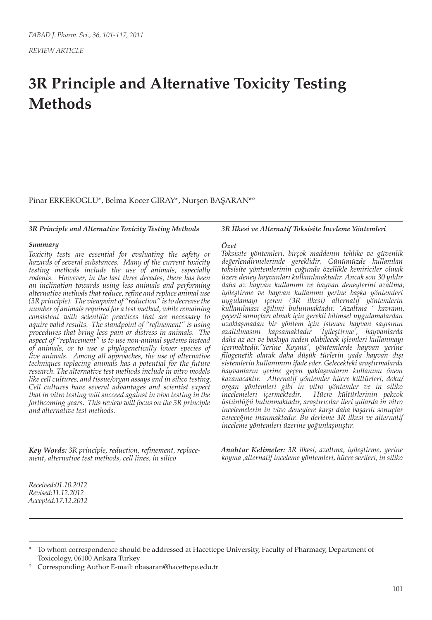# **3R Principle and Alternative Toxicity Testing Methods**

Pinar ERKEKOGLU\*, Belma Kocer GIRAY\*, Nurşen BAŞARAN\*°

#### *3R Principle and Alternative Toxicity Testing Methods*

#### *Summary*

*Toxicity tests are essential for evaluating the safety or hazards of several substances. Many of the current toxicity testing methods include the use of animals, especially rodents. However, in the last three decades, there has been an inclination towards using less animals and performing alternative methods that reduce, refine and replace animal use (3R principle). The viewpoint of "reduction" is to decrease the number of animals required for a test method, while remaining consistent with scientific practices that are necessary to aquire valid results. The standpoint of "refinement" is using procedures that bring less pain or distress in animals. The aspect of "replacement" is to use non-animal systems instead of animals, or to use a phylogenetically lower species of live animals. Among all approaches, the use of alternative techniques replacing animals has a potential for the future research. The alternative test methods include in vitro models like cell cultures, and tissue/organ assays and in silico testing. Cell cultures have several advantages and scientist expect that in vitro testing will succeed against in vivo testing in the forthcoming years. This review will focus on the 3R principle and alternative test methods.*

*Key Words: 3R principle, reduction, refinement, replacement, alternative test methods, cell lines, in silico*

#### *3R İlkesi ve Alternatif Toksisite İnceleme Yöntemleri*

#### *Özet*

*Toksisite yöntemleri, birçok maddenin tehlike ve güvenlik değerlendirmelerinde gereklidir. Günümüzde kullanılan toksisite yöntemlerinin çoğunda özellikle kemiriciler olmak üzere deney hayvanları kullanılmaktadır. Ancak son 30 yıldır daha az hayvan kullanımı ve hayvan deneylerini azaltma, iyileştirme ve hayvan kullanımı yerine başka yöntemleri uygulamayı içeren (3R ilkesi) alternatif yöntemlerin kullanılması eğilimi bulunmaktadır. 'Azaltma ' kavramı, geçerli sonuçları almak için gerekli bilimsel uygulamalardan uzaklaşmadan bir yöntem için istenen hayvan sayısının azaltılmasını kapsamaktadır 'İyileştirme', hayvanlarda daha az acı ve baskıya neden olabilecek işlemleri kullanmayı içermektedir.'Yerine Koyma', yöntemlerde hayvan yerine filogenetik olarak daha düşük türlerin yada hayvan dışı sistemlerin kullanımını ifade eder. Gelecekteki araştırmalarda hayvanların yerine geçen yaklaşımların kullanımı önem kazanacaktır. Alternatif yöntemler hücre kültürleri, doku/ organ yöntemleri gibi in vitro yöntemler ve in siliko incelemeleri içermektedir. Hücre kültürlerinin pekcok üstünlüğü bulunmaktadır, araştırıcılar ileri yıllarda in vitro incelemelerin in vivo deneylere karşı daha başarılı sonuçlar vereceğine inanmaktadır. Bu derleme 3R ilkesi ve alternatif inceleme yöntemleri üzerine yoğunlaşmıştır.* 

*Anahtar Kelimeler: 3R ilkesi, azaltma, iyileştirme, yerine koyma ,alternatif inceleme yöntemleri, hücre serileri, in siliko*

*Received:01.10.2012 Revised:11.12.2012 Accepted:17.12.2012*

To whom correspondence should be addressed at Hacettepe University, Faculty of Pharmacy, Department of Toxicology, 06100 Ankara Turkey

<sup>°</sup> Corresponding Author E-mail: nbasaran@hacettepe.edu.tr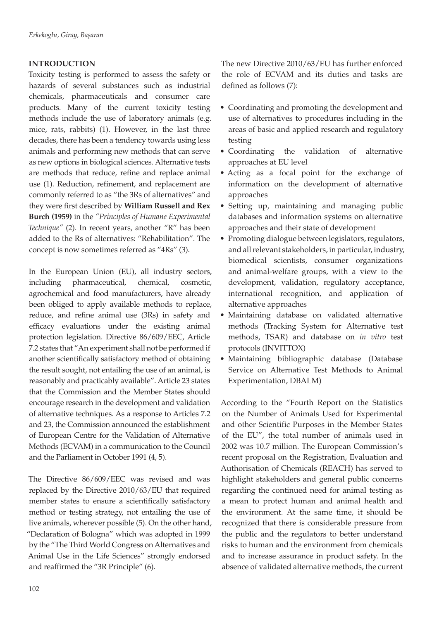## **INTRODUCTION**

Toxicity testing is performed to assess the safety or hazards of several substances such as industrial chemicals, pharmaceuticals and consumer care products. Many of the current toxicity testing methods include the use of laboratory animals (e.g. mice, rats, rabbits) (1). However, in the last three decades, there has been a tendency towards using less animals and performing new methods that can serve as new options in biological sciences. Alternative tests are methods that reduce, refine and replace animal use (1). Reduction, refinement, and replacement are commonly referred to as "the 3Rs of alternatives" and they were first described by **William Russell and Rex Burch (1959)** in the *"Principles of Humane Experimental Technique"* (2). In recent years, another "R" has been added to the Rs of alternatives: "Rehabilitation". The concept is now sometimes referred as "4Rs" (3).

In the European Union (EU), all industry sectors, including pharmaceutical, chemical, cosmetic, agrochemical and food manufacturers, have already been obliged to apply available methods to replace, reduce, and refine animal use (3Rs) in safety and efficacy evaluations under the existing animal protection legislation. Directive 86/609/EEC, Article 7.2 states that "An experiment shall not be performed if another scientifically satisfactory method of obtaining the result sought, not entailing the use of an animal, is reasonably and practicably available". Article 23 states that the Commission and the Member States should encourage research in the development and validation of alternative techniques. As a response to Articles 7.2 and 23, the Commission announced the establishment of European Centre for the Validation of Alternative Methods (ECVAM) in a communication to the Council and the Parliament in October 1991 (4, 5).

The Directive 86/609/EEC was revised and was replaced by the Directive 2010/63/EU that required member states to ensure a scientifically satisfactory method or testing strategy, not entailing the use of live animals, wherever possible (5). On the other hand, "Declaration of Bologna" which was adopted in 1999 by the "The Third World Congress on Alternatives and Animal Use in the Life Sciences" strongly endorsed and reaffirmed the "3R Principle" (6).

The new Directive 2010/63/EU has further enforced the role of ECVAM and its duties and tasks are defined as follows (7):

- Coordinating and promoting the development and use of alternatives to procedures including in the areas of basic and applied research and regulatory testing
- Coordinating the validation of alternative approaches at EU level
- Acting as a focal point for the exchange of information on the development of alternative approaches
- • Setting up, maintaining and managing public databases and information systems on alternative approaches and their state of development
- Promoting dialogue between legislators, regulators, and all relevant stakeholders, in particular, industry, biomedical scientists, consumer organizations and animal-welfare groups, with a view to the development, validation, regulatory acceptance, international recognition, and application of alternative approaches
- • Maintaining database on validated alternative methods (Tracking System for Alternative test methods, TSAR) and database on *in vitro* test protocols (INVITTOX)
- • Maintaining bibliographic database (Database Service on Alternative Test Methods to Animal Experimentation, DBALM)

According to the "Fourth Report on the Statistics on the Number of Animals Used for Experimental and other Scientific Purposes in the Member States of the EU", the total number of animals used in 2002 was 10.7 million. The European Commission's recent proposal on the Registration, Evaluation and Authorisation of Chemicals (REACH) has served to highlight stakeholders and general public concerns regarding the continued need for animal testing as a mean to protect human and animal health and the environment. At the same time, it should be recognized that there is considerable pressure from the public and the regulators to better understand risks to human and the environment from chemicals and to increase assurance in product safety. In the absence of validated alternative methods, the current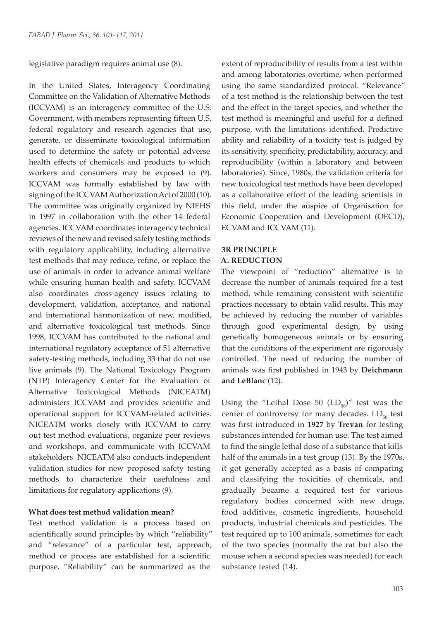legislative paradigm requires animal use (8).

In the United States, Interagency Coordinating Committee on the Validation of Alternative Methods (ICCVAM) is an interagency committee of the U.S. Government, with members representing fifteen U.S. federal regulatory and research agencies that use, generate, or disseminate toxicological information used to determine the safety or potential adverse health effects of chemicals and products to which workers and consumers may be exposed to (9). ICCVAM was formally established by law with signing of the ICCVAM Authorization Act of 2000 (10). The committee was originally organized by NIEHS in 1997 in collaboration with the other 14 federal agencies. ICCVAM coordinates interagency technical reviews of the new and revised safety testing methods with regulatory applicability, including alternative test methods that may reduce, refine, or replace the use of animals in order to advance animal welfare while ensuring human health and safety. ICCVAM also coordinates cross-agency issues relating to development, validation, acceptance, and national and international harmonization of new, modified, and alternative toxicological test methods. Since 1998, ICCVAM has contributed to the national and international regulatory acceptance of 51 alternative safety-testing methods, including 33 that do not use live animals (9). The National Toxicology Program (NTP) Interagency Center for the Evaluation of Alternative Toxicological Methods (NICEATM) administers ICCVAM and provides scientific and operational support for ICCVAM-related activities. NICEATM works closely with ICCVAM to carry out test method evaluations, organize peer reviews and workshops, and communicate with ICCVAM stakeholders. NICEATM also conducts independent validation studies for new proposed safety testing methods to characterize their usefulness and limitations for regulatory applications (9).

#### **What does test method validation mean?**

Test method validation is a process based on scientifically sound principles by which "reliability" and "relevance" of a particular test, approach, method or process are established for a scientific purpose. "Reliability" can be summarized as the

extent of reproducibility of results from a test within and among laboratories overtime, when performed using the same standardized protocol. "Relevance" of a test method is the relationship between the test and the effect in the target species, and whether the test method is meaningful and useful for a defined purpose, with the limitations identified. Predictive ability and reliability of a toxicity test is judged by its sensitivity, specificity, predictability, accuracy, and reproducibility (within a laboratory and between laboratories). Since, 1980s, the validation criteria for new toxicological test methods have been developed as a collaborative effort of the leading scientists in this field, under the auspice of Organisation for Economic Cooperation and Development (OECD), ECVAM and ICCVAM (11).

# **3R PRINCIPLE**

### **A. REDUCTION**

The viewpoint of "reduction" alternative is to decrease the number of animals required for a test method, while remaining consistent with scientific practices necessary to obtain valid results. This may be achieved by reducing the number of variables through good experimental design, by using genetically homogeneous animals or by ensuring that the conditions of the experiment are rigorously controlled. The need of reducing the number of animals was first published in 1943 by **Deichmann and LeBlanc** (12).

Using the "Lethal Dose 50  $(LD_{50})$ " test was the center of controversy for many decades.  $LD_{50}$  test was first introduced in **1927** by **Trevan** for testing substances intended for human use. The test aimed to find the single lethal dose of a substance that kills half of the animals in a test group (13). By the 1970s, it got generally accepted as a basis of comparing and classifying the toxicities of chemicals, and gradually became a required test for various regulatory bodies concerned with new drugs, food additives, cosmetic ingredients, household products, industrial chemicals and pesticides. The test required up to 100 animals, sometimes for each of the two species (normally the rat but also the mouse when a second species was needed) for each substance tested (14).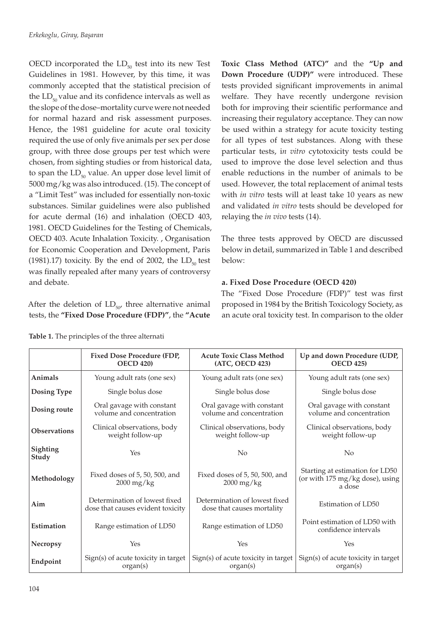OECD incorporated the  $LD_{50}$  test into its new Test Guidelines in 1981. However, by this time, it was commonly accepted that the statistical precision of the  $LD_{50}$  value and its confidence intervals as well as the slope of the dose–mortality curve were not needed for normal hazard and risk assessment purposes. Hence, the 1981 guideline for acute oral toxicity required the use of only five animals per sex per dose group, with three dose groups per test which were chosen, from sighting studies or from historical data, to span the  $LD_{50}$  value. An upper dose level limit of 5000 mg/kg was also introduced. (15). The concept of a "Limit Test" was included for essentially non-toxic substances. Similar guidelines were also published for acute dermal (16) and inhalation (OECD 403, 1981. OECD Guidelines for the Testing of Chemicals, OECD 403. Acute Inhalation Toxicity. , Organisation for Economic Cooperation and Development, Paris (1981).17) toxicity. By the end of 2002, the  $LD_{50}$  test was finally repealed after many years of controversy and debate.

After the deletion of  $LD_{50}$ , three alternative animal tests, the **"Fixed Dose Procedure (FDP)"**, the **"Acute** 

**Fixed Dose Procedure (FDP,** 

**Toxic Class Method (ATC)"** and the **"Up and Down Procedure (UDP)"** were introduced. These tests provided significant improvements in animal welfare. They have recently undergone revision both for improving their scientific performance and increasing their regulatory acceptance. They can now be used within a strategy for acute toxicity testing for all types of test substances. Along with these particular tests, i*n vitro* cytotoxicity tests could be used to improve the dose level selection and thus enable reductions in the number of animals to be used. However, the total replacement of animal tests with *in vitro* tests will at least take 10 years as new and validated *in vitro* tests should be developed for relaying the *in vivo* tests (14).

The three tests approved by OECD are discussed below in detail, summarized in Table 1 and described below:

# **a. Fixed Dose Procedure (OECD 420)**

The "Fixed Dose Procedure (FDP)" test was first proposed in 1984 by the British Toxicology Society, as an acute oral toxicity test. In comparison to the older

**Up and down Procedure (UDP,** 

**Table 1.** The principles of the three alternati

|                     | TIXE DUSE I TUCCULIE (TDI,<br><b>OECD 420)</b>                     | ACUIC TUAIC CIASS MICHIUU<br>(ATC, OECD 423)                | Op and down I rocedure (ODI,<br><b>OECD 425)</b>                             |
|---------------------|--------------------------------------------------------------------|-------------------------------------------------------------|------------------------------------------------------------------------------|
| Animals             | Young adult rats (one sex)                                         | Young adult rats (one sex)                                  | Young adult rats (one sex)                                                   |
| Dosing Type         | Single bolus dose                                                  | Single bolus dose                                           | Single bolus dose                                                            |
| Dosing route        | Oral gavage with constant<br>volume and concentration              | Oral gavage with constant<br>volume and concentration       | Oral gavage with constant<br>volume and concentration                        |
| <b>Observations</b> | Clinical observations, body<br>weight follow-up                    | Clinical observations, body<br>weight follow-up             | Clinical observations, body<br>weight follow-up                              |
| Sighting<br>Study   | Yes                                                                | No                                                          | No                                                                           |
| Methodology         | Fixed doses of 5, 50, 500, and<br>$2000 \,\mathrm{mg/kg}$          | Fixed doses of 5, 50, 500, and<br>$2000$ mg/kg              | Starting at estimation for LD50<br>(or with 175 mg/kg dose), using<br>a dose |
| Aim                 | Determination of lowest fixed<br>dose that causes evident toxicity | Determination of lowest fixed<br>dose that causes mortality | Estimation of LD50                                                           |
| Estimation          | Range estimation of LD50                                           | Range estimation of LD50                                    | Point estimation of LD50 with<br>confidence intervals                        |
| Necropsy            | Yes                                                                | Yes                                                         | Yes                                                                          |
| Endpoint            | Sign(s) of acute toxicity in target<br>organ(s)                    | Sign(s) of acute toxicity in target<br>organ(s)             | Sign(s) of acute toxicity in target<br>organ(s)                              |
|                     |                                                                    |                                                             |                                                                              |

**Acute Toxic Class Method**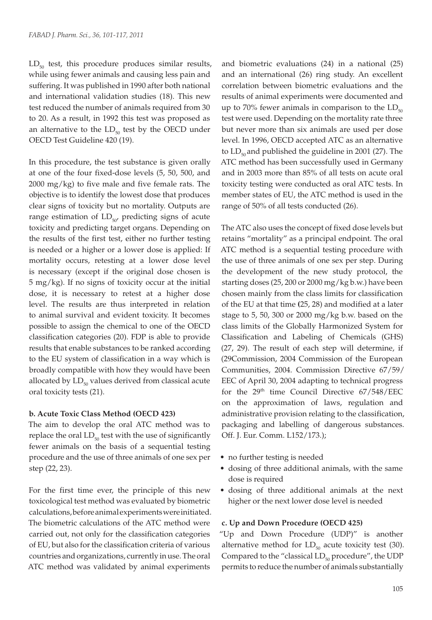$LD_{50}$  test, this procedure produces similar results, while using fewer animals and causing less pain and suffering. It was published in 1990 after both national and international validation studies (18). This new test reduced the number of animals required from 30 to 20. As a result, in 1992 this test was proposed as an alternative to the  $LD_{50}$  test by the OECD under OECD Test Guideline 420 (19).

In this procedure, the test substance is given orally at one of the four fixed-dose levels (5, 50, 500, and 2000 mg/kg) to five male and five female rats. The objective is to identify the lowest dose that produces clear signs of toxicity but no mortality. Outputs are range estimation of  $LD_{50}$  predicting signs of acute toxicity and predicting target organs. Depending on the results of the first test, either no further testing is needed or a higher or a lower dose is applied: If mortality occurs, retesting at a lower dose level is necessary (except if the original dose chosen is 5 mg/kg). If no signs of toxicity occur at the initial dose, it is necessary to retest at a higher dose level. The results are thus interpreted in relation to animal survival and evident toxicity. It becomes possible to assign the chemical to one of the OECD classification categories (20). FDP is able to provide results that enable substances to be ranked according to the EU system of classification in a way which is broadly compatible with how they would have been allocated by  $LD_{50}$  values derived from classical acute oral toxicity tests (21).

#### **b. Acute Toxic Class Method (OECD 423)**

The aim to develop the oral ATC method was to replace the oral  $LD_{50}$  test with the use of significantly fewer animals on the basis of a sequential testing procedure and the use of three animals of one sex per step (22, 23).

For the first time ever, the principle of this new toxicological test method was evaluated by biometric calculations, before animal experiments were initiated. The biometric calculations of the ATC method were carried out, not only for the classification categories of EU, but also for the classification criteria of various countries and organizations, currently in use. The oral ATC method was validated by animal experiments

and biometric evaluations (24) in a national (25) and an international (26) ring study. An excellent correlation between biometric evaluations and the results of animal experiments were documented and up to 70% fewer animals in comparison to the  $LD_{50}$ test were used. Depending on the mortality rate three but never more than six animals are used per dose level. In 1996, OECD accepted ATC as an alternative to  $LD_{50}$  and published the guideline in 2001 (27). The ATC method has been successfully used in Germany and in 2003 more than 85% of all tests on acute oral toxicity testing were conducted as oral ATC tests. In member states of EU, the ATC method is used in the range of 50% of all tests conducted (26).

The ATC also uses the concept of fixed dose levels but retains "mortality" as a principal endpoint. The oral ATC method is a sequential testing procedure with the use of three animals of one sex per step. During the development of the new study protocol, the starting doses (25, 200 or 2000 mg/kg b.w.) have been chosen mainly from the class limits for classification of the EU at that time **(**25, 28) and modified at a later stage to 5, 50, 300 or 2000 mg/kg b.w. based on the class limits of the Globally Harmonized System for Classification and Labeling of Chemicals (GHS) (27, 29). The result of each step will determine, if (29Commission, 2004 Commission of the European Communities, 2004. Commission Directive 67/59/ EEC of April 30, 2004 adapting to technical progress for the 29th time Council Directive 67/548/EEC on the approximation of laws, regulation and administrative provision relating to the classification, packaging and labelling of dangerous substances. Off. J. Eur. Comm. L152/173.);

- no further testing is needed
- dosing of three additional animals, with the same dose is required
- dosing of three additional animals at the next higher or the next lower dose level is needed

#### **c. Up and Down Procedure (OECD 425)**

"Up and Down Procedure (UDP)" is another alternative method for  $LD_{50}$  acute toxicity test (30). Compared to the "classical  $LD_{50}$  procedure", the UDP permits to reduce the number of animals substantially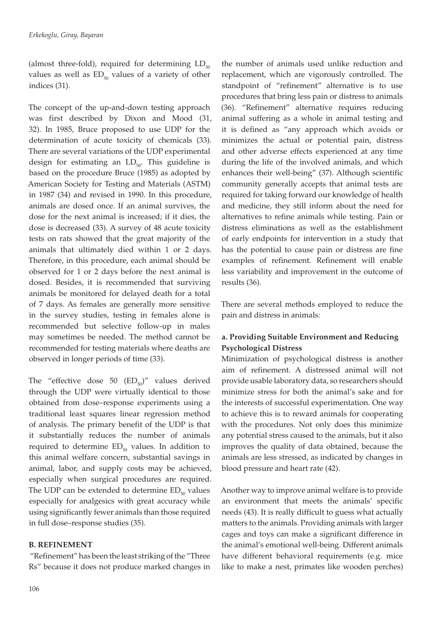(almost three-fold), required for determining  $LD_{50}$ values as well as  $ED_{50}$  values of a variety of other indices (31).

The concept of the up-and-down testing approach was first described by Dixon and Mood (31, 32). In 1985, Bruce proposed to use UDP for the determination of acute toxicity of chemicals (33). There are several variations of the UDP experimental design for estimating an  $LD_{50}$ . This guideline is based on the procedure Bruce (1985) as adopted by American Society for Testing and Materials (ASTM) in 1987 (34) and revised in 1990. In this procedure, animals are dosed once. If an animal survives, the dose for the next animal is increased; if it dies, the dose is decreased (33). A survey of 48 acute toxicity tests on rats showed that the great majority of the animals that ultimately died within 1 or 2 days. Therefore, in this procedure, each animal should be observed for 1 or 2 days before the next animal is dosed. Besides, it is recommended that surviving animals be monitored for delayed death for a total of 7 days. As females are generally more sensitive in the survey studies, testing in females alone is recommended but selective follow-up in males may sometimes be needed. The method cannot be recommended for testing materials where deaths are observed in longer periods of time (33).

The "effective dose 50  $(ED_{50})$ " values derived through the UDP were virtually identical to those obtained from dose–response experiments using a traditional least squares linear regression method of analysis. The primary benefit of the UDP is that it substantially reduces the number of animals required to determine  $ED_{50}$  values. In addition to this animal welfare concern, substantial savings in animal, labor, and supply costs may be achieved, especially when surgical procedures are required. The UDP can be extended to determine  $ED_{50}$  values especially for analgesics with great accuracy while using significantly fewer animals than those required in full dose–response studies (35).

## **B. REFINEMENT**

 "Refinement" has been the least striking of the "Three Rs" because it does not produce marked changes in the number of animals used unlike reduction and replacement, which are vigorously controlled. The standpoint of "refinement" alternative is to use procedures that bring less pain or distress to animals (36). "Refinement" alternative requires reducing animal suffering as a whole in animal testing and it is defined as "any approach which avoids or minimizes the actual or potential pain, distress and other adverse effects experienced at any time during the life of the involved animals, and which enhances their well-being" (37). Although scientific community generally accepts that animal tests are required for taking forward our knowledge of health and medicine, they still inform about the need for alternatives to refine animals while testing. Pain or distress eliminations as well as the establishment of early endpoints for intervention in a study that has the potential to cause pain or distress are fine examples of refinement. Refinement will enable less variability and improvement in the outcome of results (36).

There are several methods employed to reduce the pain and distress in animals:

## **a. Providing Suitable Environment and Reducing Psychological Distress**

Minimization of psychological distress is another aim of refinement. A distressed animal will not provide usable laboratory data, so researchers should minimize stress for both the animal's sake and for the interests of successful experimentation. One way to achieve this is to reward animals for cooperating with the procedures. Not only does this minimize any potential stress caused to the animals, but it also improves the quality of data obtained, because the animals are less stressed, as indicated by changes in blood pressure and heart rate (42).

Another way to improve animal welfare is to provide an environment that meets the animals' specific needs (43). It is really difficult to guess what actually matters to the animals. Providing animals with larger cages and toys can make a significant difference in the animal's emotional well-being. Different animals have different behavioral requirements (e.g. mice like to make a nest, primates like wooden perches)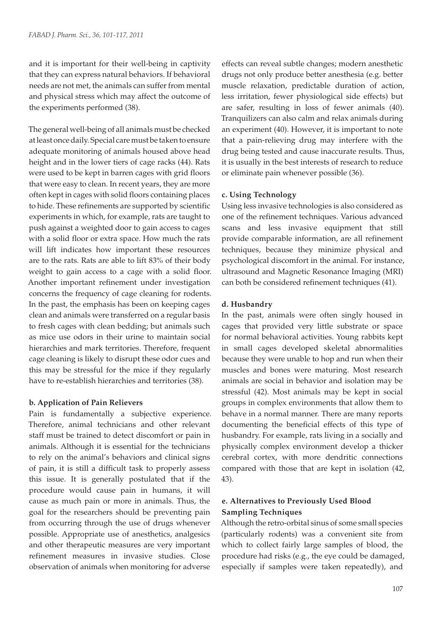and it is important for their well-being in captivity that they can express natural behaviors. If behavioral needs are not met, the animals can suffer from mental and physical stress which may affect the outcome of the experiments performed (38).

The general well-being of all animals must be checked at least once daily. Special care must be taken to ensure adequate monitoring of animals housed above head height and in the lower tiers of cage racks (44). Rats were used to be kept in barren cages with grid floors that were easy to clean. In recent years, they are more often kept in cages with solid floors containing places to hide. These refinements are supported by scientific experiments in which, for example, rats are taught to push against a weighted door to gain access to cages with a solid floor or extra space. How much the rats will lift indicates how important these resources are to the rats. Rats are able to lift 83% of their body weight to gain access to a cage with a solid floor. Another important refinement under investigation concerns the frequency of cage cleaning for rodents. In the past, the emphasis has been on keeping cages clean and animals were transferred on a regular basis to fresh cages with clean bedding; but animals such as mice use odors in their urine to maintain social hierarchies and mark territories. Therefore, frequent cage cleaning is likely to disrupt these odor cues and this may be stressful for the mice if they regularly have to re-establish hierarchies and territories (38).

#### **b. Application of Pain Relievers**

Pain is fundamentally a subjective experience. Therefore, animal technicians and other relevant staff must be trained to detect discomfort or pain in animals. Although it is essential for the technicians to rely on the animal's behaviors and clinical signs of pain, it is still a difficult task to properly assess this issue. It is generally postulated that if the procedure would cause pain in humans, it will cause as much pain or more in animals. Thus, the goal for the researchers should be preventing pain from occurring through the use of drugs whenever possible. Appropriate use of anesthetics, analgesics and other therapeutic measures are very important refinement measures in invasive studies. Close observation of animals when monitoring for adverse

effects can reveal subtle changes; modern anesthetic drugs not only produce better anesthesia (e.g. better muscle relaxation, predictable duration of action, less irritation, fewer physiological side effects) but are safer, resulting in loss of fewer animals (40). Tranquilizers can also calm and relax animals during an experiment (40). However, it is important to note that a pain-relieving drug may interfere with the drug being tested and cause inaccurate results. Thus, it is usually in the best interests of research to reduce or eliminate pain whenever possible (36).

### **c. Using Technology**

Using less invasive technologies is also considered as one of the refinement techniques. Various advanced scans and less invasive equipment that still provide comparable information, are all refinement techniques, because they minimize physical and psychological discomfort in the animal. For instance, ultrasound and Magnetic Resonance Imaging (MRI) can both be considered refinement techniques (41).

### **d. Husbandry**

In the past, animals were often singly housed in cages that provided very little substrate or space for normal behavioral activities. Young rabbits kept in small cages developed skeletal abnormalities because they were unable to hop and run when their muscles and bones were maturing. Most research animals are social in behavior and isolation may be stressful (42). Most animals may be kept in social groups in complex environments that allow them to behave in a normal manner. There are many reports documenting the beneficial effects of this type of husbandry. For example, rats living in a socially and physically complex environment develop a thicker cerebral cortex, with more dendritic connections compared with those that are kept in isolation (42, 43).

## **e. Alternatives to Previously Used Blood Sampling Techniques**

Although the retro-orbital sinus of some small species (particularly rodents) was a convenient site from which to collect fairly large samples of blood, the procedure had risks (e.g., the eye could be damaged, especially if samples were taken repeatedly), and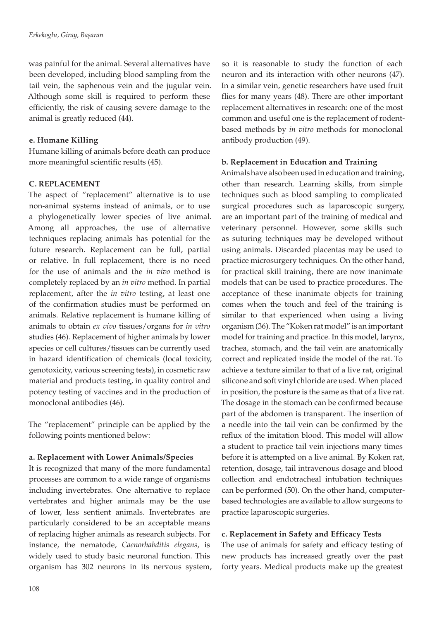was painful for the animal. Several alternatives have been developed, including blood sampling from the tail vein, the saphenous vein and the jugular vein. Although some skill is required to perform these efficiently, the risk of causing severe damage to the animal is greatly reduced (44).

## **e. Humane Killing**

Humane killing of animals before death can produce more meaningful scientific results (45).

## **C. REPLACEMENT**

The aspect of "replacement" alternative is to use non-animal systems instead of animals, or to use a phylogenetically lower species of live animal. Among all approaches, the use of alternative techniques replacing animals has potential for the future research. Replacement can be full, partial or relative. In full replacement, there is no need for the use of animals and the *in vivo* method is completely replaced by an *in vitro* method. In partial replacement, after the *in vitro* testing, at least one of the confirmation studies must be performed on animals. Relative replacement is humane killing of animals to obtain *ex vivo* tissues/organs for *in vitro* studies (46). Replacement of higher animals by lower species or cell cultures/tissues can be currently used in hazard identification of chemicals (local toxicity, genotoxicity, various screening tests), in cosmetic raw material and products testing, in quality control and potency testing of vaccines and in the production of monoclonal antibodies (46).

The "replacement" principle can be applied by the following points mentioned below:

## **a. Replacement with Lower Animals/Species**

It is recognized that many of the more fundamental processes are common to a wide range of organisms including invertebrates. One alternative to replace vertebrates and higher animals may be the use of lower, less sentient animals. Invertebrates are particularly considered to be an acceptable means of replacing higher animals as research subjects. For instance, the nematode, *Caenorhabditis elegans*, is widely used to study basic neuronal function. This organism has 302 neurons in its nervous system, so it is reasonable to study the function of each neuron and its interaction with other neurons (47). In a similar vein, genetic researchers have used fruit flies for many years (48). There are other important replacement alternatives in research: one of the most common and useful one is the replacement of rodentbased methods by *in vitro* methods for monoclonal antibody production (49).

## **b. Replacement in Education and Training**

Animals have also been used in education and training, other than research. Learning skills, from simple techniques such as blood sampling to complicated surgical procedures such as laparoscopic surgery, are an important part of the training of medical and veterinary personnel. However, some skills such as suturing techniques may be developed without using animals. Discarded placentas may be used to practice microsurgery techniques. On the other hand, for practical skill training, there are now inanimate models that can be used to practice procedures. The acceptance of these inanimate objects for training comes when the touch and feel of the training is similar to that experienced when using a living organism (36). The "Koken rat model" is an important model for training and practice. In this model, larynx, trachea, stomach, and the tail vein are anatomically correct and replicated inside the model of the rat. To achieve a texture similar to that of a live rat, original silicone and soft vinyl chloride are used. When placed in position, the posture is the same as that of a live rat. The dosage in the stomach can be confirmed because part of the abdomen is transparent. The insertion of a needle into the tail vein can be confirmed by the reflux of the imitation blood. This model will allow a student to practice tail vein injections many times before it is attempted on a live animal. By Koken rat, retention, dosage, tail intravenous dosage and blood collection and endotracheal intubation techniques can be performed (50). On the other hand, computerbased technologies are available to allow surgeons to practice laparoscopic surgeries.

## **c. Replacement in Safety and Efficacy Tests**

The use of animals for safety and efficacy testing of new products has increased greatly over the past forty years. Medical products make up the greatest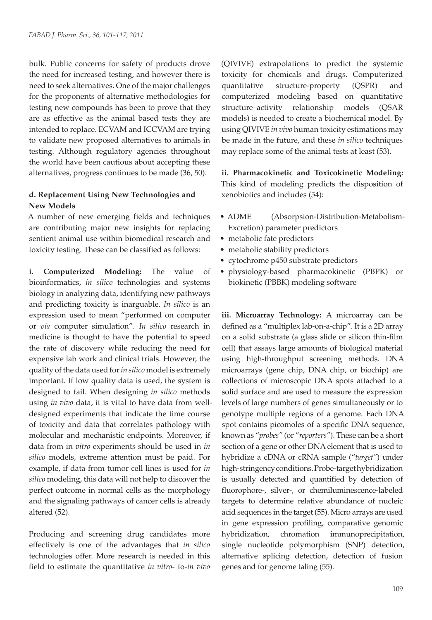bulk. Public concerns for safety of products drove the need for increased testing, and however there is need to seek alternatives. One of the major challenges for the proponents of alternative methodologies for testing new compounds has been to prove that they are as effective as the animal based tests they are intended to replace. ECVAM and ICCVAM are trying to validate new proposed alternatives to animals in testing. Although regulatory agencies throughout the world have been cautious about accepting these alternatives, progress continues to be made (36, 50).

## **d. Replacement Using New Technologies and New Models**

A number of new emerging fields and techniques are contributing major new insights for replacing sentient animal use within biomedical research and toxicity testing. These can be classified as follows:

**i. Computerized Modeling:** The value of bioinformatics, *in silico* technologies and systems biology in analyzing data, identifying new pathways and predicting toxicity is inarguable. *In silico* is an expression used to mean "performed on computer or *via* computer simulation". *In silico* research in medicine is thought to have the potential to speed the rate of discovery while reducing the need for expensive lab work and clinical trials. However, the quality of the data used for *in silico* model is extremely important. If low quality data is used, the system is designed to fail. When designing *in silico* methods using *in vivo* data, it is vital to have data from welldesigned experiments that indicate the time course of toxicity and data that correlates pathology with molecular and mechanistic endpoints. Moreover, if data from in *vitro* experiments should be used in *in silico* models, extreme attention must be paid. For example, if data from tumor cell lines is used for *in silico* modeling, this data will not help to discover the perfect outcome in normal cells as the morphology and the signaling pathways of cancer cells is already altered (52).

Producing and screening drug candidates more effectively is one of the advantages that *in silico* technologies offer. More research is needed in this field to estimate the quantitative *in vitro*- to-*in vivo* (QIVIVE) extrapolations to predict the systemic toxicity for chemicals and drugs. Computerized quantitative structure-property (QSPR) and computerized modeling based on quantitative structure–activity relationship models (QSAR models) is needed to create a biochemical model. By using QIVIVE *in vivo* human toxicity estimations may be made in the future, and these *in silico* techniques may replace some of the animal tests at least (53).

**ii. Pharmacokinetic and Toxicokinetic Modeling:**  This kind of modeling predicts the disposition of xenobiotics and includes (54):

- ADME (Absorpsion-Distribution-Metabolism-Excretion) parameter predictors
- metabolic fate predictors
- metabolic stability predictors
- cytochrome p450 substrate predictors
- • physiology-based pharmacokinetic (PBPK) or biokinetic (PBBK) modeling software

**iii. Microarray Technology:** A microarray can be defined as a "multiplex lab-on-a-chip". It is a 2D array on a solid substrate (a glass slide or silicon thin-film cell) that assays large amounts of biological material using high-throughput screening methods. DNA microarrays (gene chip, DNA chip, or biochip) are collections of microscopic DNA spots attached to a solid surface and are used to measure the expression levels of large numbers of genes simultaneously or to genotype multiple regions of a genome. Each DNA spot contains picomoles of a specific DNA sequence, known as "*probes"* (or "*reporters"*). These can be a short section of a gene or other DNA element that is used to hybridize a cDNA or cRNA sample ("*target"*) under high-stringency conditions. Probe-target hybridization is usually detected and quantified by detection of fluorophore-, silver-, or chemiluminescence-labeled targets to determine relative abundance of nucleic acid sequences in the target (55). Micro arrays are used in gene expression profiling, comparative genomic hybridization, chromation immunoprecipitation, single nucleotide polymorphism (SNP) detection, alternative splicing detection, detection of fusion genes and for genome taling (55).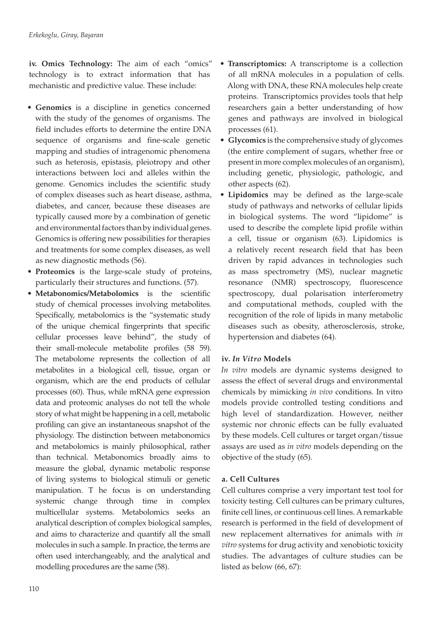**iv. Omics Technology:** The aim of each "omics" technology is to extract information that has mechanistic and predictive value. These include:

- **• Genomics** is a discipline in genetics concerned with the study of the genomes of organisms. The field includes efforts to determine the entire DNA sequence of organisms and fine-scale genetic mapping and studies of intragenomic phenomena such as heterosis, epistasis, pleiotropy and other interactions between loci and alleles within the genome. Genomics includes the scientific study of complex diseases such as heart disease, asthma, diabetes, and cancer, because these diseases are typically caused more by a combination of genetic and environmental factors than by individual genes. Genomics is offering new possibilities for therapies and treatments for some complex diseases, as well as new diagnostic methods (56).
- **• Proteomics** is the large-scale study of proteins, particularly their structures and functions. (57).
- **• Metabonomics/Metabolomics** is the scientific study of chemical processes involving metabolites. Specifically, metabolomics is the "systematic study of the unique chemical fingerprints that specific cellular processes leave behind", the study of their small-molecule metabolite profiles (58 59). The metabolome represents the collection of all metabolites in a biological cell, tissue, organ or organism, which are the end products of cellular processes (60). Thus, while mRNA gene expression data and proteomic analyses do not tell the whole story of what might be happening in a cell, metabolic profiling can give an instantaneous snapshot of the physiology. The distinction between metabonomics and metabolomics is mainly philosophical, rather than technical. Metabonomics broadly aims to measure the global, dynamic metabolic response of living systems to biological stimuli or genetic manipulation. T he focus is on understanding systemic change through time in complex multicellular systems. Metabolomics seeks an analytical description of complex biological samples, and aims to characterize and quantify all the small molecules in such a sample. In practice, the terms are often used interchangeably, and the analytical and modelling procedures are the same (58).
- **Transcriptomics:** A transcriptome is a collection of all mRNA molecules in a population of cells. Along with DNA, these RNA molecules help create proteins. Transcriptomics provides tools that help researchers gain a better understanding of how genes and pathways are involved in biological processes (61).
- **• Glycomics** is the comprehensive study of glycomes (the entire complement of sugars, whether free or present in more complex molecules of an organism), including genetic, physiologic, pathologic, and other aspects (62).
- **• Lipidomics** may be defined as the large-scale study of pathways and networks of cellular lipids in biological systems. The word "lipidome" is used to describe the complete lipid profile within a cell, tissue or organism (63). Lipidomics is a relatively recent research field that has been driven by rapid advances in technologies such as mass spectrometry (MS), nuclear magnetic resonance (NMR) spectroscopy, fluorescence spectroscopy, dual polarisation interferometry and computational methods, coupled with the recognition of the role of lipids in many metabolic diseases such as obesity, atherosclerosis, stroke, hypertension and diabetes (64).

# **iv.** *In Vitro* **Models**

*In vitro* models are dynamic systems designed to assess the effect of several drugs and environmental chemicals by mimicking *in vivo* conditions. In vitro models provide controlled testing conditions and high level of standardization. However, neither systemic nor chronic effects can be fully evaluated by these models. Cell cultures or target organ/tissue assays are used as *in vitro* models depending on the objective of the study (65).

# **a. Cell Cultures**

Cell cultures comprise a very important test tool for toxicity testing. Cell cultures can be primary cultures, finite cell lines, or continuous cell lines. A remarkable research is performed in the field of development of new replacement alternatives for animals with *in vitro* systems for drug activity and xenobiotic toxicity studies. The advantages of culture studies can be listed as below (66, 67):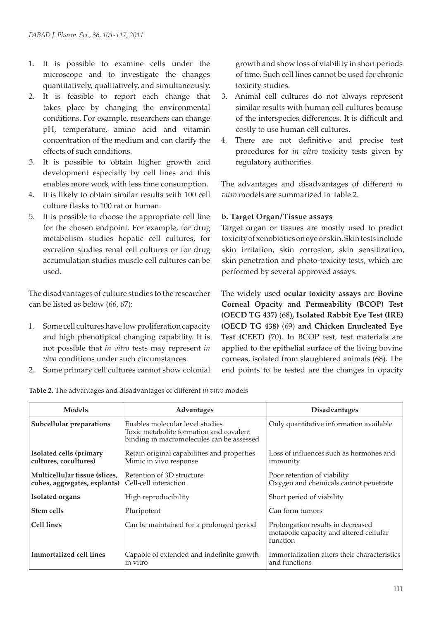- 1. It is possible to examine cells under the microscope and to investigate the changes quantitatively, qualitatively, and simultaneously.
- 2. It is feasible to report each change that takes place by changing the environmental conditions. For example, researchers can change pH, temperature, amino acid and vitamin concentration of the medium and can clarify the effects of such conditions.
- 3. It is possible to obtain higher growth and development especially by cell lines and this enables more work with less time consumption.
- 4. It is likely to obtain similar results with 100 cell culture flasks to 100 rat or human.
- 5. It is possible to choose the appropriate cell line for the chosen endpoint. For example, for drug metabolism studies hepatic cell cultures, for excretion studies renal cell cultures or for drug accumulation studies muscle cell cultures can be used.

The disadvantages of culture studies to the researcher can be listed as below (66, 67):

- 1. Some cell cultures have low proliferation capacity and high phenotipical changing capability. It is not possible that *in vitro* tests may represent *in vivo* conditions under such circumstances.
- 2. Some primary cell cultures cannot show colonial

growth and show loss of viability in short periods of time. Such cell lines cannot be used for chronic toxicity studies.

- 3. Animal cell cultures do not always represent similar results with human cell cultures because of the interspecies differences. It is difficult and costly to use human cell cultures.
- 4. There are not definitive and precise test procedures for *in vitro* toxicity tests given by regulatory authorities.

The advantages and disadvantages of different *in vitro* models are summarized in Table 2.

## **b. Target Organ/Tissue assays**

Target organ or tissues are mostly used to predict toxicity of xenobiotics on eye or skin. Skin tests include skin irritation, skin corrosion, skin sensitization, skin penetration and photo-toxicity tests, which are performed by several approved assays.

The widely used **ocular toxicity assays** are **Bovine Corneal Opacity and Permeability (BCOP) Test (OECD TG 437)** (68)**, Isolated Rabbit Eye Test (IRE) (OECD TG 438)** (69) **and Chicken Enucleated Eye Test (CEET)** (70). In BCOP test, test materials are applied to the epithelial surface of the living bovine corneas, isolated from slaughtered animals (68). The end points to be tested are the changes in opacity

| <b>Table 2.</b> The advantages and disadvantages of different in vitro models |  |
|-------------------------------------------------------------------------------|--|
|                                                                               |  |

| Models                                                        | <b>Advantages</b>                                                                                                       | <b>Disadvantages</b>                                                                     |
|---------------------------------------------------------------|-------------------------------------------------------------------------------------------------------------------------|------------------------------------------------------------------------------------------|
| Subcellular preparations                                      | Enables molecular level studies<br>Toxic metabolite formation and covalent<br>binding in macromolecules can be assessed | Only quantitative information available                                                  |
| Isolated cells (primary<br>cultures, cocultures)              | Retain original capabilities and properties<br>Mimic in vivo response                                                   | Loss of influences such as hormones and<br>immunity                                      |
| Multicellular tissue (slices,<br>cubes, aggregates, explants) | Retention of 3D structure<br>Cell-cell interaction                                                                      | Poor retention of viability<br>Oxygen and chemicals cannot penetrate                     |
| <b>Isolated organs</b>                                        | High reproducibility                                                                                                    | Short period of viability                                                                |
| Stem cells                                                    | Pluripotent                                                                                                             | Can form tumors                                                                          |
| <b>Cell lines</b>                                             | Can be maintained for a prolonged period                                                                                | Prolongation results in decreased<br>metabolic capacity and altered cellular<br>function |
| Immortalized cell lines                                       | Capable of extended and indefinite growth<br>in vitro                                                                   | Immortalization alters their characteristics<br>and functions                            |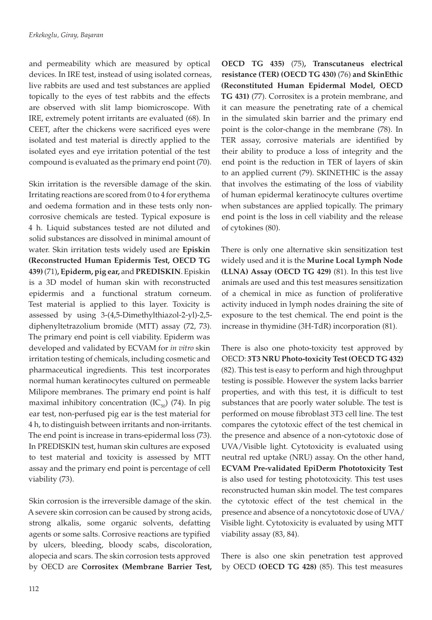and permeability which are measured by optical devices. In IRE test, instead of using isolated corneas, live rabbits are used and test substances are applied topically to the eyes of test rabbits and the effects are observed with slit lamp biomicroscope. With IRE, extremely potent irritants are evaluated (68). In CEET, after the chickens were sacrificed eyes were isolated and test material is directly applied to the isolated eyes and eye irritation potential of the test compound is evaluated as the primary end point (70).

Skin irritation is the reversible damage of the skin. Irritating reactions are scored from 0 to 4 for erythema and oedema formation and in these tests only noncorrosive chemicals are tested. Typical exposure is 4 h. Liquid substances tested are not diluted and solid substances are dissolved in minimal amount of water. Skin irritation tests widely used are **Episkin (Reconstructed Human Epidermis Test, OECD TG 439)** (71)**, Epiderm, pig ear,** and **PREDISKIN**. Episkin is a 3D model of human skin with reconstructed epidermis and a functional stratum corneum. Test material is applied to this layer. Toxicity is assessed by using 3-(4,5-Dimethylthiazol-2-yl)-2,5 diphenyltetrazolium bromide (MTT) assay (72, 73). The primary end point is cell viability. Epiderm was developed and validated by ECVAM for *in vitro* skin irritation testing of chemicals, including cosmetic and pharmaceutical ingredients. This test incorporates normal human keratinocytes cultured on permeable Milipore membranes. The primary end point is half maximal inhibitory concentration  $(IC_{50})$  (74). In pig ear test, non-perfused pig ear is the test material for 4 h, to distinguish between irritants and non-irritants. The end point is increase in trans-epidermal loss (73). In PREDISKIN test, human skin cultures are exposed to test material and toxicity is assessed by MTT assay and the primary end point is percentage of cell viability (73).

Skin corrosion is the irreversible damage of the skin. A severe skin corrosion can be caused by strong acids, strong alkalis, some organic solvents, defatting agents or some salts. Corrosive reactions are typified by ulcers, bleeding, bloody scabs, discoloration, alopecia and scars. The skin corrosion tests approved by OECD are **Corrositex (Membrane Barrier Test,** 

**OECD TG 435)** (75)**, Transcutaneus electrical resistance (TER) (OECD TG 430)** (76) **and SkinEthic (Reconstituted Human Epidermal Model, OECD TG 431)** (77). Corrositex is a protein membrane, and it can measure the penetrating rate of a chemical in the simulated skin barrier and the primary end point is the color-change in the membrane (78). In TER assay, corrosive materials are identified by their ability to produce a loss of integrity and the end point is the reduction in TER of layers of skin to an applied current (79). SKINETHIC is the assay that involves the estimating of the loss of viability of human epidermal keratinocyte cultures overtime when substances are applied topically. The primary end point is the loss in cell viability and the release of cytokines (80).

There is only one alternative skin sensitization test widely used and it is the **Murine Local Lymph Node (LLNA) Assay (OECD TG 429)** (81). In this test live animals are used and this test measures sensitization of a chemical in mice as function of proliferative activity induced in lymph nodes draining the site of exposure to the test chemical. The end point is the increase in thymidine (3H-TdR) incorporation (81).

There is also one photo-toxicity test approved by OECD: **3T3 NRU Photo-toxicity Test (OECD TG 432)**  (82). This test is easy to perform and high throughput testing is possible. However the system lacks barrier properties, and with this test, it is difficult to test substances that are poorly water soluble. The test is performed on mouse fibroblast 3T3 cell line. The test compares the cytotoxic effect of the test chemical in the presence and absence of a non-cytotoxic dose of UVA/Visible light. Cytotoxicity is evaluated using neutral red uptake (NRU) assay. On the other hand, **ECVAM Pre-validated EpiDerm Phototoxicity Test**  is also used for testing phototoxicity. This test uses reconstructed human skin model. The test compares the cytotoxic effect of the test chemical in the presence and absence of a noncytotoxic dose of UVA/ Visible light. Cytotoxicity is evaluated by using MTT viability assay (83, 84).

There is also one skin penetration test approved by OECD **(OECD TG 428)** (85). This test measures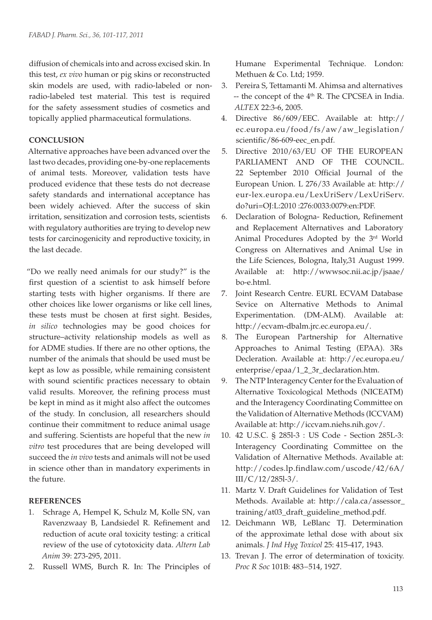diffusion of chemicals into and across excised skin. In this test, *ex vivo* human or pig skins or reconstructed skin models are used, with radio-labeled or nonradio-labeled test material. This test is required for the safety assessment studies of cosmetics and topically applied pharmaceutical formulations.

## **CONCLUSION**

Alternative approaches have been advanced over the last two decades, providing one-by-one replacements of animal tests. Moreover, validation tests have produced evidence that these tests do not decrease safety standards and international acceptance has been widely achieved. After the success of skin irritation, sensitization and corrosion tests, scientists with regulatory authorities are trying to develop new tests for carcinogenicity and reproductive toxicity, in the last decade.

"Do we really need animals for our study?" is the first question of a scientist to ask himself before starting tests with higher organisms. If there are other choices like lower organisms or like cell lines, these tests must be chosen at first sight. Besides, *in silico* technologies may be good choices for structure–activity relationship models as well as for ADME studies. If there are no other options, the number of the animals that should be used must be kept as low as possible, while remaining consistent with sound scientific practices necessary to obtain valid results. Moreover, the refining process must be kept in mind as it might also affect the outcomes of the study. In conclusion, all researchers should continue their commitment to reduce animal usage and suffering. Scientists are hopeful that the new *in vitro* test procedures that are being developed will succeed the *in vivo* tests and animals will not be used in science other than in mandatory experiments in the future.

## **REFERENCES**

- 1. Schrage A, Hempel K, Schulz M, Kolle SN, van Ravenzwaay B, Landsiedel R. Refinement and reduction of acute oral toxicity testing: a critical review of the use of cytotoxicity data. *Altern Lab Anim* 39: 273-295, 2011.
- 2. Russell WMS, Burch R. In: The Principles of

Humane Experimental Technique. London: Methuen & Co. Ltd; 1959.

- 3. Pereira S, Tettamanti M. Ahimsa and alternatives -- the concept of the 4<sup>th</sup> R. The CPCSEA in India. *ALTEX* 22:3-6, 2005.
- 4. Directive 86/609/EEC. Available at: http:// ec.europa.eu/food/fs/aw/aw\_legislation/ scientific/86-609-eec\_en.pdf.
- 5. Directive 2010/63/EU OF THE EUROPEAN PARLIAMENT AND OF THE COUNCIL. 22 September 2010 Official Journal of the European Union. L 276/33 Available at: http:// eur-lex.europa.eu/LexUriServ/LexUriServ. do?uri=OJ:L:2010 :276:0033:0079:en:PDF.
- 6. Declaration of Bologna- Reduction, Refinement and Replacement Alternatives and Laboratory Animal Procedures Adopted by the 3rd World Congress on Alternatives and Animal Use in the Life Sciences, Bologna, Italy,31 August 1999. Available at: http://wwwsoc.nii.ac.jp/jsaae/ bo-e.html.
- 7. Joint Research Centre. EURL ECVAM Database Sevice on Alternative Methods to Animal Experimentation. (DM-ALM). Available at: http://ecvam-dbalm.jrc.ec.europa.eu/.
- 8. The European Partnership for Alternative Approaches to Animal Testing (EPAA). 3Rs Decleration. Available at: http://ec.europa.eu/ enterprise/epaa/1\_2\_3r\_declaration.htm.
- 9. The NTP Interagency Center for the Evaluation of Alternative Toxicological Methods (NICEATM) and the Interagency Coordinating Committee on the Validation of Alternative Methods (ICCVAM) Available at: http://iccvam.niehs.nih.gov/.
- 10. 42 U.S.C. § 285l-3 : US Code Section 285L-3: Interagency Coordinating Committee on the Validation of Alternative Methods. Available at: http://codes.lp.findlaw.com/uscode/42/6A/ III/C/12/285l-3/.
- 11. Martz V. Draft Guidelines for Validation of Test Methods. Available at: http://cala.ca/assessor\_ training/at03\_draft\_guideline\_method.pdf.
- 12. Deichmann WB, LeBlanc TJ. Determination of the approximate lethal dose with about six animals. *J Ind Hyg Toxicol* 25: 415-417, 1943.
- 13. Trevan J. The error of determination of toxicity. *Proc R Soc* 101B: 483−514, 1927.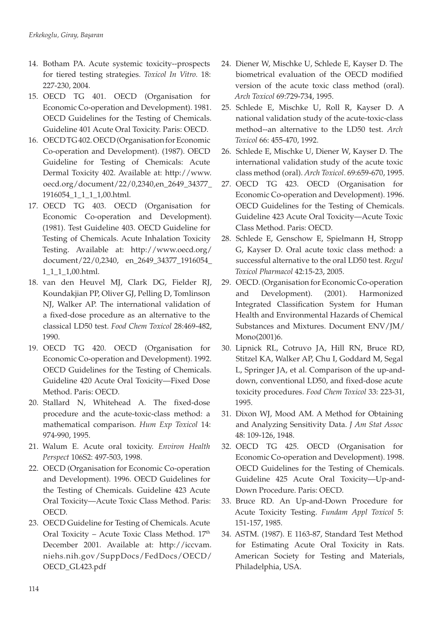- 14. Botham PA. Acute systemic toxicity--prospects for tiered testing strategies. *Toxicol In Vitro.* 18: 227-230, 2004.
- 15. OECD TG 401. OECD (Organisation for Economic Co-operation and Development). 1981. OECD Guidelines for the Testing of Chemicals. Guideline 401 Acute Oral Toxicity. Paris: OECD.
- 16. OECD TG 402. OECD (Organisation for Economic Co-operation and Development). (1987). OECD Guideline for Testing of Chemicals: Acute Dermal Toxicity 402. Available at: http://www. oecd.org/document/22/0,2340,en\_2649\_34377\_ 1916054\_1\_1\_1\_1,00.html.
- 17. OECD TG 403. OECD (Organisation for Economic Co-operation and Development). (1981). Test Guideline 403. OECD Guideline for Testing of Chemicals. Acute Inhalation Toxicity Testing. Available at: http://www.oecd.org/ document/22/0,2340, en\_2649\_34377\_1916054\_ 1\_1\_1\_1,00.html.
- 18. van den Heuvel MJ, Clark DG, Fielder RJ, Koundakjian PP, Oliver GJ, Pelling D, Tomlinson NJ, Walker AP. The international validation of a fixed-dose procedure as an alternative to the classical LD50 test. *Food Chem Toxicol* 28:469-482, 1990.
- 19. OECD TG 420. OECD (Organisation for Economic Co-operation and Development). 1992. OECD Guidelines for the Testing of Chemicals. Guideline 420 Acute Oral Toxicity—Fixed Dose Method. Paris: OECD.
- 20. Stallard N, Whitehead A. The fixed-dose procedure and the acute-toxic-class method: a mathematical comparison. *Hum Exp Toxicol* 14: 974-990, 1995.
- 21. Walum E. Acute oral toxicity. *Environ Health Perspect* 106S2: 497-503, 1998.
- 22. OECD (Organisation for Economic Co-operation and Development). 1996. OECD Guidelines for the Testing of Chemicals. Guideline 423 Acute Oral Toxicity—Acute Toxic Class Method. Paris: OECD.
- 23. OECD Guideline for Testing of Chemicals. Acute Oral Toxicity – Acute Toxic Class Method. 17th December 2001. Available at: http://iccvam. niehs.nih.gov/SuppDocs/FedDocs/OECD/ OECD\_GL423.pdf
- 24. Diener W, Mischke U, Schlede E, Kayser D. The biometrical evaluation of the OECD modified version of the acute toxic class method (oral). *Arch Toxicol* 69:729-734, 1995.
- 25. Schlede E, Mischke U, Roll R, Kayser D. A national validation study of the acute-toxic-class method--an alternative to the LD50 test. *Arch Toxicol* 66: 455-470, 1992.
- 26. Schlede E, Mischke U, Diener W, Kayser D. The international validation study of the acute toxic class method (oral). *Arch Toxicol*. 69:659-670, 1995.
- 27. OECD TG 423. OECD (Organisation for Economic Co-operation and Development). 1996. OECD Guidelines for the Testing of Chemicals. Guideline 423 Acute Oral Toxicity—Acute Toxic Class Method. Paris: OECD.
- 28. Schlede E, Genschow E, Spielmann H, Stropp G, Kayser D. Oral acute toxic class method: a successful alternative to the oral LD50 test. *Regul Toxicol Pharmacol* 42:15-23, 2005.
- 29. OECD. (Organisation for Economic Co-operation and Development). (2001). Harmonized Integrated Classification System for Human Health and Environmental Hazards of Chemical Substances and Mixtures. Document ENV/JM/ Mono(2001)6.
- 30. Lipnick RL, Cotruvo JA, Hill RN, Bruce RD, Stitzel KA, Walker AP, Chu I, Goddard M, Segal L, Springer JA, et al. Comparison of the up-anddown, conventional LD50, and fixed-dose acute toxicity procedures. *Food Chem Toxicol* 33: 223-31, 1995.
- 31. Dixon WJ, Mood AM. A Method for Obtaining and Analyzing Sensitivity Data. *J Am Stat Assoc*  48: 109-126, 1948.
- 32. OECD TG 425. OECD (Organisation for Economic Co-operation and Development). 1998. OECD Guidelines for the Testing of Chemicals. Guideline 425 Acute Oral Toxicity—Up-and-Down Procedure. Paris: OECD.
- 33. Bruce RD. An Up-and-Down Procedure for Acute Toxicity Testing. *Fundam Appl Toxicol* 5: 151-157, 1985.
- 34. ASTM. (1987). E 1163-87, Standard Test Method for Estimating Acute Oral Toxicity in Rats. American Society for Testing and Materials, Philadelphia, USA.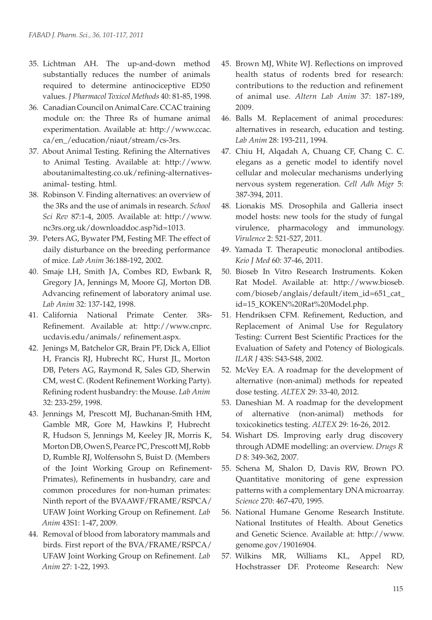- 35. Lichtman AH. The up-and-down method substantially reduces the number of animals required to determine antinociceptive ED50 values. *J Pharmacol Toxicol Methods* 40: 81-85, 1998.
- 36. Canadian Council on Animal Care. CCAC training module on: the Three Rs of humane animal experimentation. Available at: http://www.ccac. ca/en\_/education/niaut/stream/cs-3rs.
- 37. About Animal Testing. Refining the Alternatives to Animal Testing. Available at: http://www. aboutanimaltesting.co.uk/refining-alternativesanimal- testing. html.
- 38. Robinson V. Finding alternatives: an overview of the 3Rs and the use of animals in research. *School Sci Rev* 87:1-4, 2005. Available at: http://www. nc3rs.org.uk/downloaddoc.asp?id=1013.
- 39. Peters AG, Bywater PM, Festing MF. The effect of daily disturbance on the breeding performance of mice. *Lab Anim* 36:188-192, 2002.
- 40. Smaje LH, Smith JA, Combes RD, Ewbank R, Gregory JA, Jennings M, Moore GJ, Morton DB. Advancing refinement of laboratory animal use. *Lab Anim* 32: 137-142, 1998.
- 41. California National Primate Center. 3Rs-Refinement. Available at: http://www.cnprc. ucdavis.edu/animals/ refinement.aspx.
- 42. Jenings M, Batchelor GR, Brain PF, Dick A, Elliot H, Francis RJ, Hubrecht RC, Hurst JL, Morton DB, Peters AG, Raymond R, Sales GD, Sherwin CM, west C. (Rodent Refinement Working Party). Refining rodent husbandry: the Mouse. *Lab Anim* 32: 233-259, 1998.
- 43. Jennings M, Prescott MJ, Buchanan-Smith HM, Gamble MR, Gore M, Hawkins P, Hubrecht R, Hudson S, Jennings M, Keeley JR, Morris K, Morton DB, Owen S, Pearce PC, Prescott MJ, Robb D, Rumble RJ, Wolfensohn S, Buist D. (Members of the Joint Working Group on Refinement-Primates), Refinements in husbandry, care and common procedures for non-human primates: Ninth report of the BVAAWF/FRAME/RSPCA/ UFAW Joint Working Group on Refinement. *Lab Anim* 43S1: 1-47, 2009.
- 44. Removal of blood from laboratory mammals and birds. First report of the BVA/FRAME/RSPCA/ UFAW Joint Working Group on Refinement. *Lab Anim* 27: 1-22, 1993.
- 45. Brown MJ, White WJ. Reflections on improved health status of rodents bred for research: contributions to the reduction and refinement of animal use. *Altern Lab Anim* 37: 187-189, 2009.
- 46. Balls M. Replacement of animal procedures: alternatives in research, education and testing. *Lab Anim* 28: 193-211, 1994.
- 47. Chiu H, Alqadah A, Chuang CF, Chang C. C. elegans as a genetic model to identify novel cellular and molecular mechanisms underlying nervous system regeneration. *Cell Adh Migr* 5: 387-394, 2011.
- 48. Lionakis MS. Drosophila and Galleria insect model hosts: new tools for the study of fungal virulence, pharmacology and immunology. *Virulence* 2: 521-527, 2011.
- 49. Yamada T. Therapeutic monoclonal antibodies. *Keio J Med* 60: 37-46, 2011.
- 50. Bioseb In Vitro Research Instruments. Koken Rat Model. Available at: http://www.bioseb. com/bioseb/anglais/default/item\_id=651\_cat\_ id=15\_KOKEN%20Rat%20Model.php.
- 51. Hendriksen CFM. Refinement, Reduction, and Replacement of Animal Use for Regulatory Testing: Current Best Scientific Practices for the Evaluation of Safety and Potency of Biologicals. *ILAR J* 43S: S43-S48, 2002.
- 52. McVey EA. A roadmap for the development of alternative (non-animal) methods for repeated dose testing. *ALTEX* 29: 33-40, 2012.
- 53. Daneshian M. A roadmap for the development of alternative (non-animal) methods for toxicokinetics testing. *ALTEX* 29: 16-26, 2012.
- 54. Wishart DS. Improving early drug discovery through ADME modelling: an overview. *Drugs R D* 8: 349-362, 2007.
- 55. Schena M, Shalon D, Davis RW, Brown PO. Quantitative monitoring of gene expression patterns with a complementary DNA microarray. *Science* 270: 467-470, 1995.
- 56. National Humane Genome Research Institute. National Institutes of Health. About Genetics and Genetic Science. Available at: http://www. genome.gov/19016904.
- 57. Wilkins MR, Williams KL, Appel RD, Hochstrasser DF. Proteome Research: New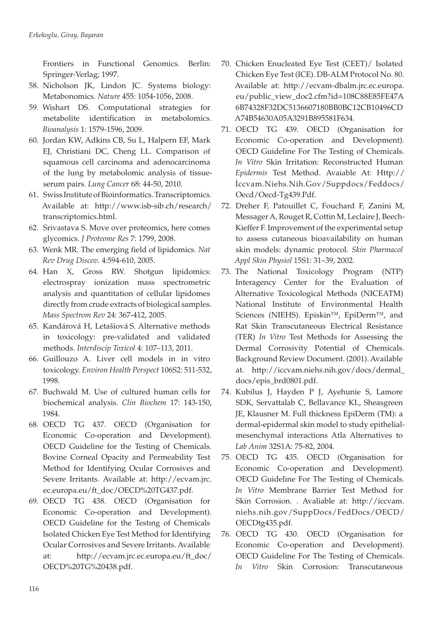Frontiers in Functional Genomics. Berlin: Springer-Verlag; 1997.

- 58. Nicholson JK, Lindon JC. Systems biology: Metabonomics. *Nature* 455: 1054-1056, 2008.
- 59. Wishart DS. Computational strategies for metabolite identification in metabolomics. *Bioanalysis* 1: 1579-1596, 2009.
- 60. Jordan KW, Adkins CB, Su L, Halpern EF, Mark EJ, Christiani DC, Cheng LL. Comparison of squamous cell carcinoma and adenocarcinoma of the lung by metabolomic analysis of tissueserum pairs. *Lung Cancer* 68: 44-50, 2010.
- 61. Swiss Institute of Bioinformatics. Transcriptomics. Available at: http://www.isb-sib.ch/research/ transcriptomics.html.
- 62. Srivastava S. Move over proteomics, here comes glycomics. *J Proteome Res* 7: 1799, 2008.
- 63. Wenk MR. The emerging field of lipidomics. *Nat Rev Drug Discov*. 4:594-610, 2005.
- 64. Han X, Gross RW. Shotgun lipidomics: electrospray ionization mass spectrometric analysis and quantitation of cellular lipidomes directly from crude extracts of biological samples. *Mass Spectrom Rev* 24: 367-412, 2005.
- 65. Kandárová H, Letašiová S. Alternative methods in toxicology: pre-validated and validated methods. *Interdiscip Toxicol* 4: 107–113, 2011.
- 66. Guillouzo A. Liver cell models in in vitro toxicology. *Environ Health Perspect* 106S2: 511-532, 1998.
- 67. Buchwald M. Use of cultured human cells for biochemical analysis. *Clin Biochem* 17: 143-150, 1984.
- 68. OECD TG 437. OECD (Organisation for Economic Co-operation and Development). OECD Guideline for the Testing of Chemicals. Bovine Corneal Opacity and Permeability Test Method for Identifying Ocular Corrosives and Severe Irritants. Available at: http://ecvam.jrc. ec.europa.eu/ft\_doc/OECD%20TG437.pdf.
- 69. OECD TG 438. OECD (Organisation for Economic Co-operation and Development). OECD Guideline for the Testıng of Chemicals Isolated Chicken Eye Test Method for Identifying Ocular Corrosives and Severe Irritants. Available at: http://ecvam.jrc.ec.europa.eu/ft\_doc/ OECD%20TG%20438.pdf.
- 70. Chicken Enucleated Eye Test (CEET)/ Isolated Chicken Eye Test (ICE). DB-ALM Protocol No. 80. Available at: http://ecvam-dbalm.jrc.ec.europa. eu/public\_view\_doc2.cfm?id=108C88E85FE47A 6B74328F32DC5136607180BB0BC12CB10496CD A74B54630A05A3291B895581F634.
- 71. OECD TG 439. OECD (Organisation for Economic Co-operation and Development). OECD Guideline For The Testing of Chemicals. *In Vitro* Skin Irritation: Reconstructed Human *Epidermis* Test Method. Avaiable At: Http:// İccvam.Niehs.Nih.Gov/Suppdocs/Feddocs/ Oecd/Oecd-Tg439.Pdf.
- 72. Dreher F, Patouillet C, Fouchard F, Zanini M, Messager A, Rouget R, Cottin M, Leclaire J, Beech-Kieffer F. Improvement of the experimental setup to assess cutaneous bioavailability on human skin models: dynamic protocol. *Skin Pharmacol Appl Skin Physiol* 15S1: 31–39, 2002.
- 73. The National Toxicology Program (NTP) Interagency Center for the Evaluation of Alternative Toxicological Methods (NICEATM) National Institute of Environmental Health Sciences (NIEHS). Episkin™, EpiDerm™, and Rat Skin Transcutaneous Electrical Resistance (TER) *In Vitro* Test Methods for Assessing the Dermal Corrosivity Potential of Chemicals. Background Review Document. (2001). Available at. http://iccvam.niehs.nih.gov/docs/dermal\_ docs/epis\_brd0801.pdf.
- 74. Kubilus J, Hayden P J, Ayehunie S, Lamore SDK, Servattalab C, Bellavance KL, Sheasgreen JE, Klausner M. Full thickness EpiDerm (TM): a dermal-epidermal skin model to study epithelialmesenchymal interactions Atla Alternatives to *Lab Anim* 32S1A: 75-82, 2004.
- 75. OECD TG 435. OECD (Organisation for Economic Co-operation and Development). OECD Guideline For The Testing of Chemicals. *In Vitro* Membrane Barrier Test Method for Skin Corrosion. . Avaliable at: http://iccvam. niehs.nih.gov/SuppDocs/FedDocs/OECD/ OECDtg435.pdf.
- 76. OECD TG 430. OECD (Organisation for Economic Co-operation and Development). OECD Guideline For The Testing of Chemicals. *In Vitro* Skin Corrosion: Transcutaneous